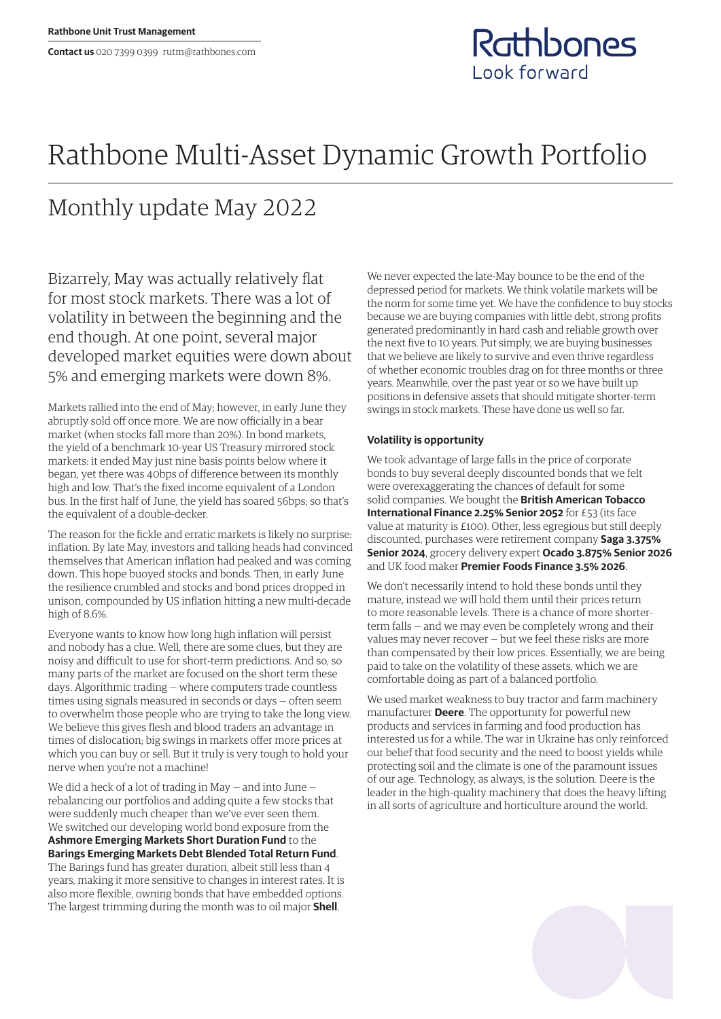### Rathbones Look forward

# Rathbone Multi-Asset Dynamic Growth Portfolio

## Monthly update May 2022

Bizarrely, May was actually relatively flat for most stock markets. There was a lot of volatility in between the beginning and the end though. At one point, several major developed market equities were down about 5% and emerging markets were down 8%.

Markets rallied into the end of May; however, in early June they abruptly sold off once more. We are now officially in a bear market (when stocks fall more than 20%). In bond markets, the yield of a benchmark 10-year US Treasury mirrored stock markets: it ended May just nine basis points below where it began, yet there was 40bps of difference between its monthly high and low. That's the fixed income equivalent of a London bus. In the first half of June, the yield has soared 56bps; so that's the equivalent of a double-decker.

The reason for the fickle and erratic markets is likely no surprise: inflation. By late May, investors and talking heads had convinced themselves that American inflation had peaked and was coming down. This hope buoyed stocks and bonds. Then, in early June the resilience crumbled and stocks and bond prices dropped in unison, compounded by US inflation hitting a new multi-decade high of 8.6%.

Everyone wants to know how long high inflation will persist and nobody has a clue. Well, there are some clues, but they are noisy and difficult to use for short-term predictions. And so, so many parts of the market are focused on the short term these days. Algorithmic trading — where computers trade countless times using signals measured in seconds or days — often seem to overwhelm those people who are trying to take the long view. We believe this gives flesh and blood traders an advantage in times of dislocation; big swings in markets offer more prices at which you can buy or sell. But it truly is very tough to hold your nerve when you're not a machine!

We did a heck of a lot of trading in May — and into June rebalancing our portfolios and adding quite a few stocks that were suddenly much cheaper than we've ever seen them. We switched our developing world bond exposure from the **Ashmore Emerging Markets Short Duration Fund** to the **Barings Emerging Markets Debt Blended Total Return Fund**. The Barings fund has greater duration, albeit still less than 4 years, making it more sensitive to changes in interest rates. It is also more flexible, owning bonds that have embedded options. The largest trimming during the month was to oil major **Shell**.

We never expected the late-May bounce to be the end of the depressed period for markets. We think volatile markets will be the norm for some time yet. We have the confidence to buy stocks because we are buying companies with little debt, strong profits generated predominantly in hard cash and reliable growth over the next five to 10 years. Put simply, we are buying businesses that we believe are likely to survive and even thrive regardless of whether economic troubles drag on for three months or three years. Meanwhile, over the past year or so we have built up positions in defensive assets that should mitigate shorter-term swings in stock markets. These have done us well so far.

#### **Volatility is opportunity**

We took advantage of large falls in the price of corporate bonds to buy several deeply discounted bonds that we felt were overexaggerating the chances of default for some solid companies. We bought the **British American Tobacco International Finance 2.25% Senior 2052** for £53 (its face value at maturity is £100). Other, less egregious but still deeply discounted, purchases were retirement company **Saga 3.375% Senior 2024**, grocery delivery expert **Ocado 3.875% Senior 2026** and UK food maker **Premier Foods Finance 3.5% 2026**.

We don't necessarily intend to hold these bonds until they mature, instead we will hold them until their prices return to more reasonable levels. There is a chance of more shorterterm falls — and we may even be completely wrong and their values may never recover — but we feel these risks are more than compensated by their low prices. Essentially, we are being paid to take on the volatility of these assets, which we are comfortable doing as part of a balanced portfolio.

We used market weakness to buy tractor and farm machinery manufacturer **Deere**. The opportunity for powerful new products and services in farming and food production has interested us for a while. The war in Ukraine has only reinforced our belief that food security and the need to boost yields while protecting soil and the climate is one of the paramount issues of our age. Technology, as always, is the solution. Deere is the leader in the high-quality machinery that does the heavy lifting in all sorts of agriculture and horticulture around the world.

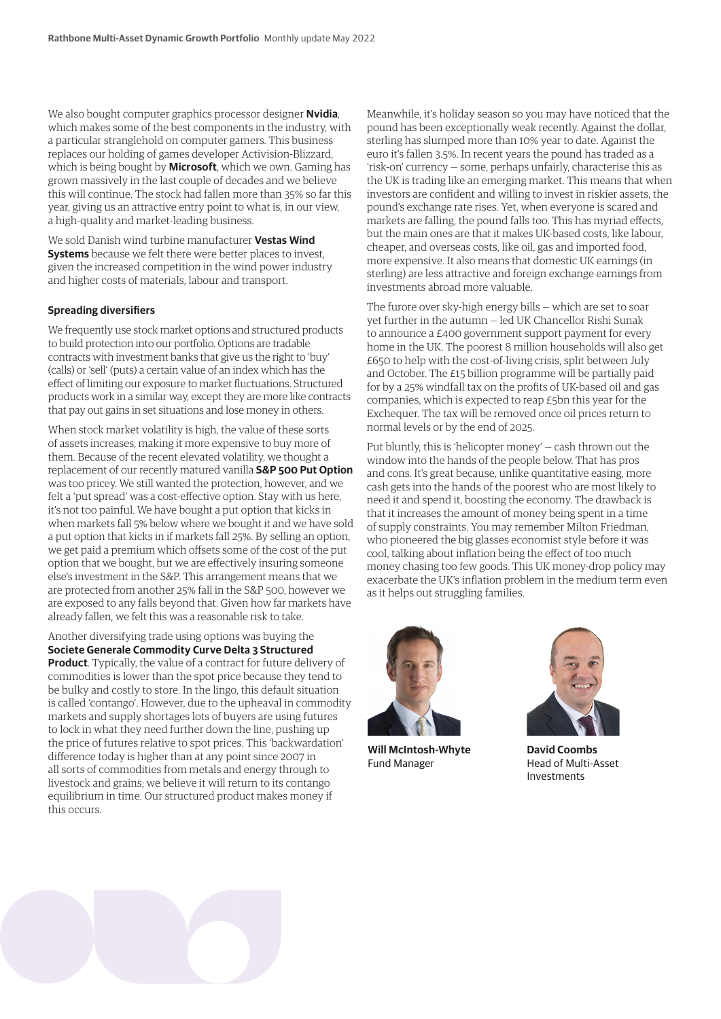We also bought computer graphics processor designer **Nvidia**, which makes some of the best components in the industry, with a particular stranglehold on computer gamers. This business replaces our holding of games developer Activision-Blizzard, which is being bought by **Microsoft**, which we own. Gaming has grown massively in the last couple of decades and we believe this will continue. The stock had fallen more than 35% so far this year, giving us an attractive entry point to what is, in our view, a high-quality and market-leading business.

We sold Danish wind turbine manufacturer **Vestas Wind Systems** because we felt there were better places to invest, given the increased competition in the wind power industry and higher costs of materials, labour and transport.

### **Spreading diversifiers**

We frequently use stock market options and structured products to build protection into our portfolio. Options are tradable contracts with investment banks that give us the right to 'buy' (calls) or 'sell' (puts) a certain value of an index which has the effect of limiting our exposure to market fluctuations. Structured products work in a similar way, except they are more like contracts that pay out gains in set situations and lose money in others.

When stock market volatility is high, the value of these sorts of assets increases, making it more expensive to buy more of them. Because of the recent elevated volatility, we thought a replacement of our recently matured vanilla **S&P 500 Put Option** was too pricey. We still wanted the protection, however, and we felt a 'put spread' was a cost-effective option. Stay with us here, it's not too painful. We have bought a put option that kicks in when markets fall 5% below where we bought it and we have sold a put option that kicks in if markets fall 25%. By selling an option, we get paid a premium which offsets some of the cost of the put option that we bought, but we are effectively insuring someone else's investment in the S&P. This arrangement means that we are protected from another 25% fall in the S&P 500, however we are exposed to any falls beyond that. Given how far markets have already fallen, we felt this was a reasonable risk to take.

Another diversifying trade using options was buying the **Societe Generale Commodity Curve Delta 3 Structured** 

**Product**. Typically, the value of a contract for future delivery of commodities is lower than the spot price because they tend to be bulky and costly to store. In the lingo, this default situation is called 'contango'. However, due to the upheaval in commodity markets and supply shortages lots of buyers are using futures to lock in what they need further down the line, pushing up the price of futures relative to spot prices. This 'backwardation' difference today is higher than at any point since 2007 in all sorts of commodities from metals and energy through to livestock and grains; we believe it will return to its contango equilibrium in time. Our structured product makes money if this occurs.

Meanwhile, it's holiday season so you may have noticed that the pound has been exceptionally weak recently. Against the dollar, sterling has slumped more than 10% year to date. Against the euro it's fallen 3.5%. In recent years the pound has traded as a 'risk-on' currency — some, perhaps unfairly, characterise this as the UK is trading like an emerging market. This means that when investors are confident and willing to invest in riskier assets, the pound's exchange rate rises. Yet, when everyone is scared and markets are falling, the pound falls too. This has myriad effects, but the main ones are that it makes UK-based costs, like labour, cheaper, and overseas costs, like oil, gas and imported food, more expensive. It also means that domestic UK earnings (in sterling) are less attractive and foreign exchange earnings from investments abroad more valuable.

The furore over sky-high energy bills — which are set to soar yet further in the autumn — led UK Chancellor Rishi Sunak to announce a £400 government support payment for every home in the UK. The poorest 8 million households will also get £650 to help with the cost-of-living crisis, split between July and October. The £15 billion programme will be partially paid for by a 25% windfall tax on the profits of UK-based oil and gas companies, which is expected to reap £5bn this year for the Exchequer. The tax will be removed once oil prices return to normal levels or by the end of 2025.

Put bluntly, this is 'helicopter money' — cash thrown out the window into the hands of the people below. That has pros and cons. It's great because, unlike quantitative easing, more cash gets into the hands of the poorest who are most likely to need it and spend it, boosting the economy. The drawback is that it increases the amount of money being spent in a time of supply constraints. You may remember Milton Friedman, who pioneered the big glasses economist style before it was cool, talking about inflation being the effect of too much money chasing too few goods. This UK money-drop policy may exacerbate the UK's inflation problem in the medium term even as it helps out struggling families.



**Will McIntosh-Whyte** Fund Manager



**David Coombs** Head of Multi-Asset Investments